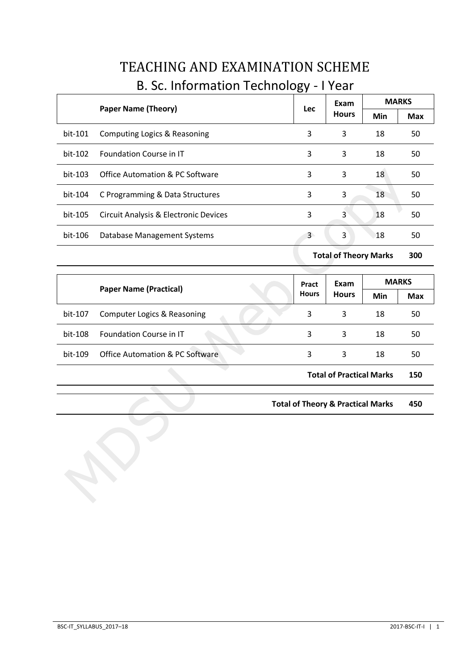|         |                                            | <b>Lec</b> | Exam         | <b>MARKS</b> |            |
|---------|--------------------------------------------|------------|--------------|--------------|------------|
|         | <b>Paper Name (Theory)</b>                 |            | <b>Hours</b> | Min          | <b>Max</b> |
| bit-101 | Computing Logics & Reasoning               | 3          | 3            | 18           | 50         |
| bit-102 | <b>Foundation Course in IT</b>             | 3          | 3            | 18           | 50         |
| bit-103 | <b>Office Automation &amp; PC Software</b> | 3          | 3            | 18           | 50         |
| bit-104 | C Programming & Data Structures            | 3          | 3            | 18           | 50         |
| bit-105 | Circuit Analysis & Electronic Devices      | 3          | 3            | 18           | 50         |
| bit-106 | Database Management Systems                | 3          | 3            | 18           | 50         |

# TEACHING AND EXAMINATION SCHEME B. Sc. Information Technology - I Year

**Total of Theory Marks 300**

|         | <b>Paper Name (Practical)</b>              |  | Pract<br><b>Hours</b> | Exam<br><b>Hours</b>            | <b>MARKS</b> |            |
|---------|--------------------------------------------|--|-----------------------|---------------------------------|--------------|------------|
|         |                                            |  |                       |                                 | Min          | <b>Max</b> |
| bit-107 | Computer Logics & Reasoning                |  | 3                     | 3                               | 18           | 50         |
| bit-108 | Foundation Course in IT                    |  | 3                     | 3                               | 18           | 50         |
| bit-109 | <b>Office Automation &amp; PC Software</b> |  | 3                     | 3                               | 18           | 50         |
|         |                                            |  |                       | <b>Total of Practical Marks</b> |              | 150        |

**Total of Theory & Practical Marks 450**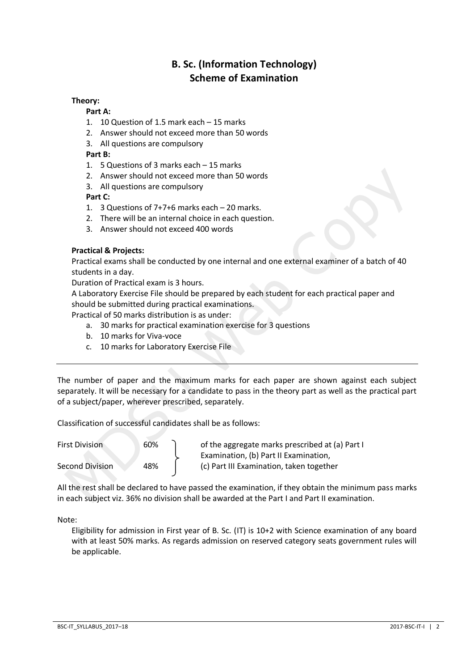# **B. Sc. (Information Technology) Scheme of Examination**

# **Theory:**

## **Part A:**

- 1. 10 Question of 1.5 mark each 15 marks
- 2. Answer should not exceed more than 50 words
- 3. All questions are compulsory

## **Part B:**

- 1. 5 Questions of 3 marks each 15 marks
- 2. Answer should not exceed more than 50 words
- 3. All questions are compulsory

## **Part C:**

- 1. 3 Questions of 7+7+6 marks each 20 marks.
- 2. There will be an internal choice in each question.
- 3. Answer should not exceed 400 words

## **Practical & Projects:**

Practical exams shall be conducted by one internal and one external examiner of a batch of 40 students in a day.

Duration of Practical exam is 3 hours.

A Laboratory Exercise File should be prepared by each student for each practical paper and should be submitted during practical examinations.

Practical of 50 marks distribution is as under:

- a. 30 marks for practical examination exercise for 3 questions
- b. 10 marks for Viva-voce
- c. 10 marks for Laboratory Exercise File

The number of paper and the maximum marks for each paper are shown against each subject separately. It will be necessary for a candidate to pass in the theory part as well as the practical part of a subject/paper, wherever prescribed, separately.

Classification of successful candidates shall be as follows:

| <b>First Division</b>  | 60% | of the aggregate marks prescribed at (a) Part I |
|------------------------|-----|-------------------------------------------------|
|                        |     | Examination, (b) Part II Examination,           |
| <b>Second Division</b> | 48% | (c) Part III Examination, taken together        |

All the rest shall be declared to have passed the examination, if they obtain the minimum pass marks in each subject viz. 36% no division shall be awarded at the Part I and Part II examination.

Note:

Eligibility for admission in First year of B. Sc. (IT) is 10+2 with Science examination of any board with at least 50% marks. As regards admission on reserved category seats government rules will be applicable.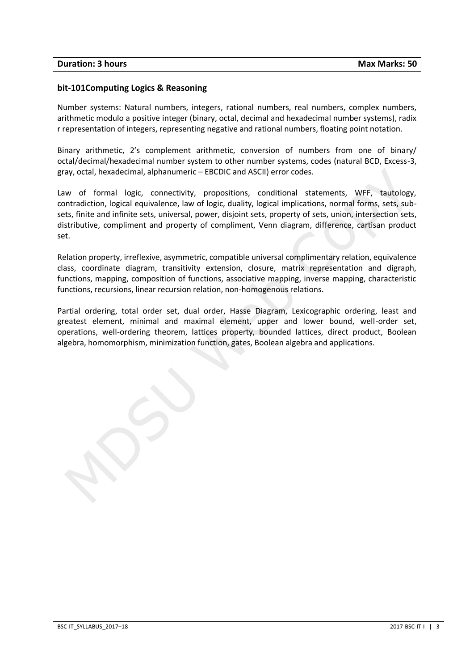| <b>Duration: 3 hours</b> | <b>Max Marks: 50</b> |
|--------------------------|----------------------|
|                          |                      |

## **bit-101Computing Logics & Reasoning**

Number systems: Natural numbers, integers, rational numbers, real numbers, complex numbers, arithmetic modulo a positive integer (binary, octal, decimal and hexadecimal number systems), radix r representation of integers, representing negative and rational numbers, floating point notation.

Binary arithmetic, 2's complement arithmetic, conversion of numbers from one of binary/ octal/decimal/hexadecimal number system to other number systems, codes (natural BCD, Excess-3, gray, octal, hexadecimal, alphanumeric – EBCDIC and ASCII) error codes.

Law of formal logic, connectivity, propositions, conditional statements, WFF, tautology, contradiction, logical equivalence, law of logic, duality, logical implications, normal forms, sets, subsets, finite and infinite sets, universal, power, disjoint sets, property of sets, union, intersection sets, distributive, compliment and property of compliment, Venn diagram, difference, cartisan product set.

Relation property, irreflexive, asymmetric, compatible universal complimentary relation, equivalence class, coordinate diagram, transitivity extension, closure, matrix representation and digraph, functions, mapping, composition of functions, associative mapping, inverse mapping, characteristic functions, recursions, linear recursion relation, non-homogenous relations.

Partial ordering, total order set, dual order, Hasse Diagram, Lexicographic ordering, least and greatest element, minimal and maximal element, upper and lower bound, well-order set, operations, well-ordering theorem, lattices property, bounded lattices, direct product, Boolean algebra, homomorphism, minimization function, gates, Boolean algebra and applications.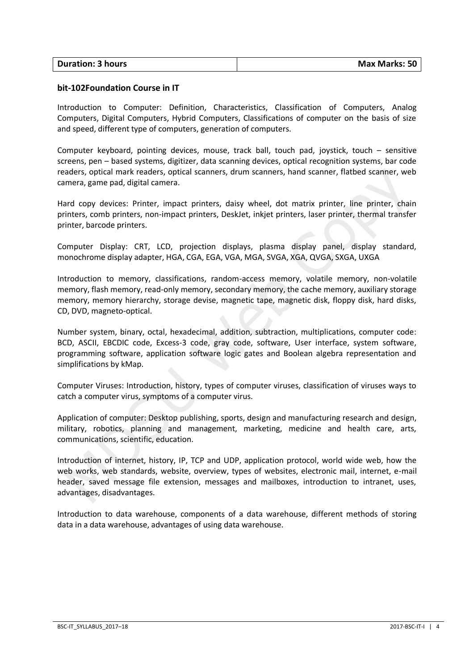| <b>Duration: 3 hours</b> | <b>Max Marks: 50</b> |
|--------------------------|----------------------|
|                          |                      |

#### **bit-102Foundation Course in IT**

Introduction to Computer: Definition, Characteristics, Classification of Computers, Analog Computers, Digital Computers, Hybrid Computers, Classifications of computer on the basis of size and speed, different type of computers, generation of computers.

Computer keyboard, pointing devices, mouse, track ball, touch pad, joystick, touch – sensitive screens, pen – based systems, digitizer, data scanning devices, optical recognition systems, bar code readers, optical mark readers, optical scanners, drum scanners, hand scanner, flatbed scanner, web camera, game pad, digital camera.

Hard copy devices: Printer, impact printers, daisy wheel, dot matrix printer, line printer, chain printers, comb printers, non-impact printers, DeskJet, inkjet printers, laser printer, thermal transfer printer, barcode printers.

Computer Display: CRT, LCD, projection displays, plasma display panel, display standard, monochrome display adapter, HGA, CGA, EGA, VGA, MGA, SVGA, XGA, QVGA, SXGA, UXGA

Introduction to memory, classifications, random-access memory, volatile memory, non-volatile memory, flash memory, read-only memory, secondary memory, the cache memory, auxiliary storage memory, memory hierarchy, storage devise, magnetic tape, magnetic disk, floppy disk, hard disks, CD, DVD, magneto-optical.

Number system, binary, octal, hexadecimal, addition, subtraction, multiplications, computer code: BCD, ASCII, EBCDIC code, Excess-3 code, gray code, software, User interface, system software, programming software, application software logic gates and Boolean algebra representation and simplifications by kMap.

Computer Viruses: Introduction, history, types of computer viruses, classification of viruses ways to catch a computer virus, symptoms of a computer virus.

Application of computer: Desktop publishing, sports, design and manufacturing research and design, military, robotics, planning and management, marketing, medicine and health care, arts, communications, scientific, education.

Introduction of internet, history, IP, TCP and UDP, application protocol, world wide web, how the web works, web standards, website, overview, types of websites, electronic mail, internet, e-mail header, saved message file extension, messages and mailboxes, introduction to intranet, uses, advantages, disadvantages.

Introduction to data warehouse, components of a data warehouse, different methods of storing data in a data warehouse, advantages of using data warehouse.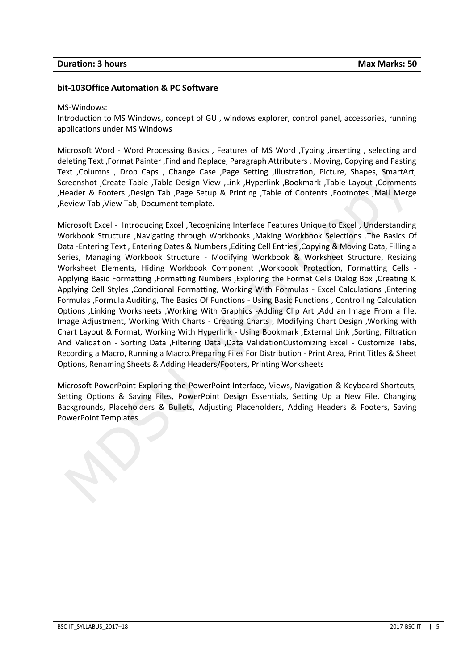| <b>Duration: 3 hours</b> | <b>Max Marks: 50</b> |
|--------------------------|----------------------|
|                          |                      |

#### **bit-103Office Automation & PC Software**

#### MS-Windows:

Introduction to MS Windows, concept of GUI, windows explorer, control panel, accessories, running applications under MS Windows

Microsoft Word - Word Processing Basics , Features of MS Word ,Typing ,inserting , selecting and deleting Text ,Format Painter ,Find and Replace, Paragraph Attributers , Moving, Copying and Pasting Text ,Columns , Drop Caps , Change Case ,Page Setting ,Illustration, Picture, Shapes, SmartArt, Screenshot ,Create Table ,Table Design View ,Link ,Hyperlink ,Bookmark ,Table Layout ,Comments ,Header & Footers ,Design Tab ,Page Setup & Printing ,Table of Contents ,Footnotes ,Mail Merge ,Review Tab ,View Tab, Document template.

Microsoft Excel - Introducing Excel ,Recognizing Interface Features Unique to Excel , Understanding Workbook Structure ,Navigating through Workbooks ,Making Workbook Selections .The Basics Of Data -Entering Text , Entering Dates & Numbers ,Editing Cell Entries ,Copying & Moving Data, Filling a Series, Managing Workbook Structure - Modifying Workbook & Worksheet Structure, Resizing Worksheet Elements, Hiding Workbook Component ,Workbook Protection, Formatting Cells - Applying Basic Formatting ,Formatting Numbers ,Exploring the Format Cells Dialog Box ,Creating & Applying Cell Styles ,Conditional Formatting, Working With Formulas - Excel Calculations ,Entering Formulas ,Formula Auditing, The Basics Of Functions - Using Basic Functions , Controlling Calculation Options ,Linking Worksheets ,Working With Graphics -Adding Clip Art ,Add an Image From a file, Image Adjustment, Working With Charts - Creating Charts , Modifying Chart Design ,Working with Chart Layout & Format, Working With Hyperlink - Using Bookmark ,External Link ,Sorting, Filtration And Validation - Sorting Data ,Filtering Data ,Data ValidationCustomizing Excel - Customize Tabs, Recording a Macro, Running a Macro.Preparing Files For Distribution - Print Area, Print Titles & Sheet Options, Renaming Sheets & Adding Headers/Footers, Printing Worksheets

Microsoft PowerPoint-Exploring the PowerPoint Interface, Views, Navigation & Keyboard Shortcuts, Setting Options & Saving Files, PowerPoint Design Essentials, Setting Up a New File, Changing Backgrounds, Placeholders & Bullets, Adjusting Placeholders, Adding Headers & Footers, Saving PowerPoint Templates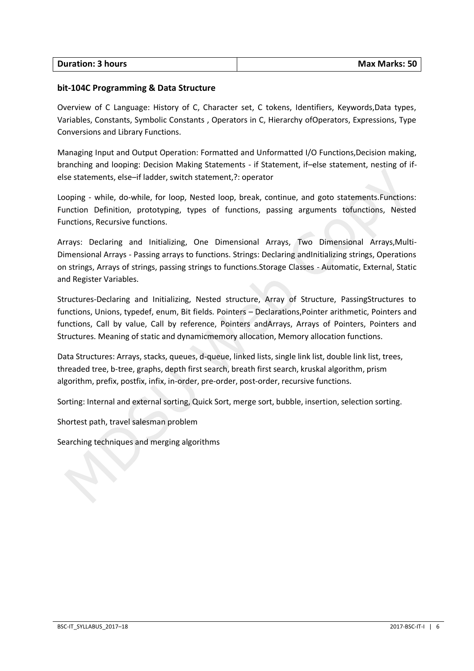| <b>Duration: 3 hours</b> | <b>Max Marks: 50</b> |
|--------------------------|----------------------|
|                          |                      |

## **bit-104C Programming & Data Structure**

Overview of C Language: History of C, Character set, C tokens, Identifiers, Keywords,Data types, Variables, Constants, Symbolic Constants , Operators in C, Hierarchy ofOperators, Expressions, Type Conversions and Library Functions.

Managing Input and Output Operation: Formatted and Unformatted I/O Functions,Decision making, branching and looping: Decision Making Statements - if Statement, if–else statement, nesting of ifelse statements, else–if ladder, switch statement,?: operator

Looping - while, do-while, for loop, Nested loop, break, continue, and goto statements.Functions: Function Definition, prototyping, types of functions, passing arguments tofunctions, Nested Functions, Recursive functions.

Arrays: Declaring and Initializing, One Dimensional Arrays, Two Dimensional Arrays,Multi-Dimensional Arrays - Passing arrays to functions. Strings: Declaring andInitializing strings, Operations on strings, Arrays of strings, passing strings to functions.Storage Classes - Automatic, External, Static and Register Variables.

Structures-Declaring and Initializing, Nested structure, Array of Structure, PassingStructures to functions, Unions, typedef, enum, Bit fields. Pointers – Declarations,Pointer arithmetic, Pointers and functions, Call by value, Call by reference, Pointers andArrays, Arrays of Pointers, Pointers and Structures. Meaning of static and dynamicmemory allocation, Memory allocation functions.

Data Structures: Arrays, stacks, queues, d-queue, linked lists, single link list, double link list, trees, threaded tree, b-tree, graphs, depth first search, breath first search, kruskal algorithm, prism algorithm, prefix, postfix, infix, in-order, pre-order, post-order, recursive functions.

Sorting: Internal and external sorting, Quick Sort, merge sort, bubble, insertion, selection sorting.

Shortest path, travel salesman problem

Searching techniques and merging algorithms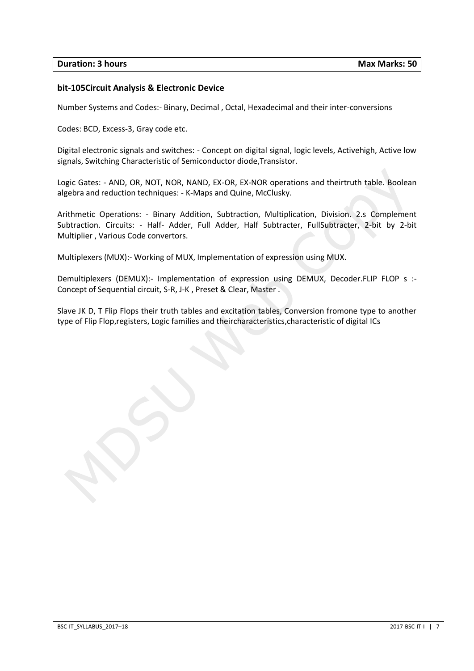| <b>Duration: 3 hours</b> | <b>Max Marks: 50</b> |
|--------------------------|----------------------|

# **bit-105Circuit Analysis & Electronic Device**

Number Systems and Codes:- Binary, Decimal , Octal, Hexadecimal and their inter-conversions

Codes: BCD, Excess-3, Gray code etc.

Digital electronic signals and switches: - Concept on digital signal, logic levels, Activehigh, Active low signals, Switching Characteristic of Semiconductor diode,Transistor.

Logic Gates: - AND, OR, NOT, NOR, NAND, EX-OR, EX-NOR operations and theirtruth table. Boolean algebra and reduction techniques: - K-Maps and Quine, McClusky.

Arithmetic Operations: - Binary Addition, Subtraction, Multiplication, Division. 2.s Complement Subtraction. Circuits: - Half- Adder, Full Adder, Half Subtracter, FullSubtracter, 2-bit by 2-bit Multiplier , Various Code convertors.

Multiplexers (MUX):- Working of MUX, Implementation of expression using MUX.

Demultiplexers (DEMUX):- Implementation of expression using DEMUX, Decoder.FLIP FLOP s :-Concept of Sequential circuit, S-R, J-K , Preset & Clear, Master .

Slave JK D, T Flip Flops their truth tables and excitation tables, Conversion fromone type to another type of Flip Flop,registers, Logic families and theircharacteristics,characteristic of digital ICs